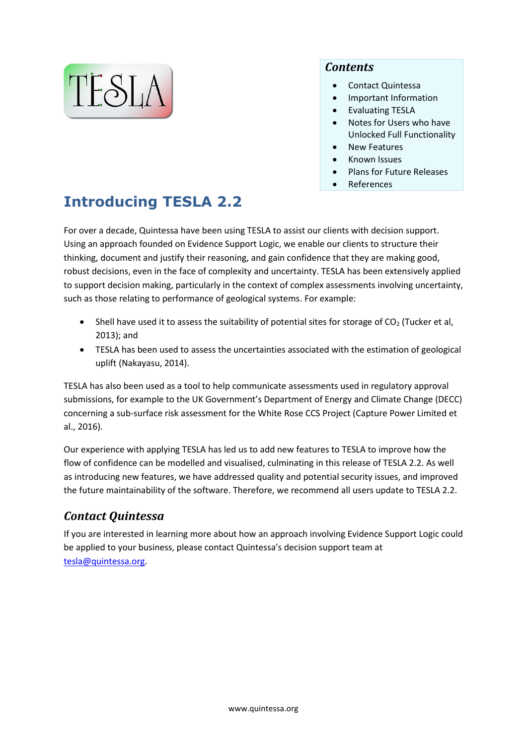

#### *Contents*

- Contact [Quintessa](#page-0-0)
- [Important Information](#page-1-0)
- [Evaluating](#page-1-1) TESLA
- Notes for [Users who have](#page-1-2)  [Unlocked Full Functionality](#page-1-2)
- [New Features](#page-2-0)
- [Known Issues](#page-3-0)
- [Plans for Future Releases](#page-3-1)
- [References](#page-4-0)

# **Introducing TESLA 2.2**

For over a decade, Quintessa have been using TESLA to assist our clients with decision support. Using an approach founded on Evidence Support Logic, we enable our clients to structure their thinking, document and justify their reasoning, and gain confidence that they are making good, robust decisions, even in the face of complexity and uncertainty. TESLA has been extensively applied to support decision making, particularly in the context of complex assessments involving uncertainty, such as those relating to performance of geological systems. For example:

- Shell have used it to assess the suitability of potential sites for storage of  $CO<sub>2</sub>$  (Tucker et al, 2013); and
- TESLA has been used to assess the uncertainties associated with the estimation of geological uplift (Nakayasu, 2014).

TESLA has also been used as a tool to help communicate assessments used in regulatory approval submissions, for example to the UK Government's Department of Energy and Climate Change (DECC) concerning a sub-surface risk assessment for the White Rose CCS Project (Capture Power Limited et al., 2016).

Our experience with applying TESLA has led us to add new features to TESLA to improve how the flow of confidence can be modelled and visualised, culminating in this release of TESLA 2.2. As well as introducing new features, we have addressed quality and potential security issues, and improved the future maintainability of the software. Therefore, we recommend all users update to TESLA 2.2.

# <span id="page-0-0"></span>*Contact Quintessa*

If you are interested in learning more about how an approach involving Evidence Support Logic could be applied to your business, please contact Quintessa's decision support team at [tesla@quintessa.org.](mailto:tesla@quintessa.org)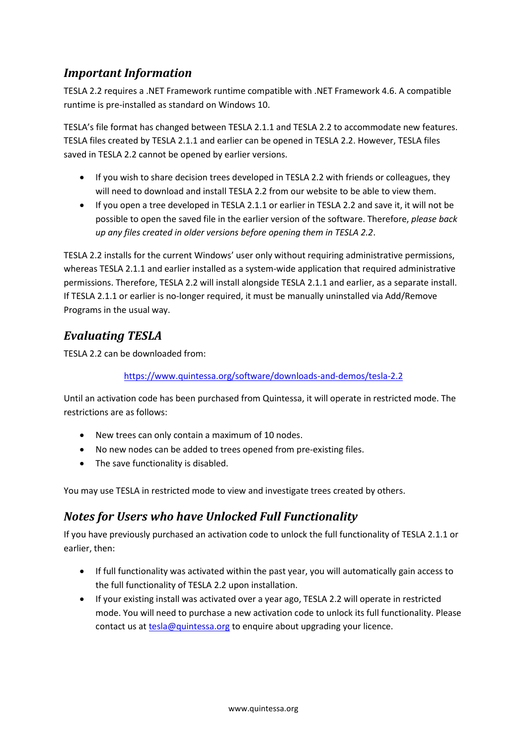### <span id="page-1-0"></span>*Important Information*

TESLA 2.2 requires a .NET Framework runtime compatible with .NET Framework 4.6. A compatible runtime is pre-installed as standard on Windows 10.

TESLA's file format has changed between TESLA 2.1.1 and TESLA 2.2 to accommodate new features. TESLA files created by TESLA 2.1.1 and earlier can be opened in TESLA 2.2. However, TESLA files saved in TESLA 2.2 cannot be opened by earlier versions.

- If you wish to share decision trees developed in TESLA 2.2 with friends or colleagues, they will need to download and install TESLA 2.2 from our website to be able to view them.
- If you open a tree developed in TESLA 2.1.1 or earlier in TESLA 2.2 and save it, it will not be possible to open the saved file in the earlier version of the software. Therefore, *please back up any files created in older versions before opening them in TESLA 2.2*.

TESLA 2.2 installs for the current Windows' user only without requiring administrative permissions, whereas TESLA 2.1.1 and earlier installed as a system-wide application that required administrative permissions. Therefore, TESLA 2.2 will install alongside TESLA 2.1.1 and earlier, as a separate install. If TESLA 2.1.1 or earlier is no-longer required, it must be manually uninstalled via Add/Remove Programs in the usual way.

## <span id="page-1-1"></span>*Evaluating TESLA*

TESLA 2.2 can be downloaded from:

#### <https://www.quintessa.org/software/downloads-and-demos/tesla-2.2>

Until an activation code has been purchased from Quintessa, it will operate in restricted mode. The restrictions are as follows:

- New trees can only contain a maximum of 10 nodes.
- No new nodes can be added to trees opened from pre-existing files.
- The save functionality is disabled.

You may use TESLA in restricted mode to view and investigate trees created by others.

## <span id="page-1-2"></span>*Notes for Users who have Unlocked Full Functionality*

If you have previously purchased an activation code to unlock the full functionality of TESLA 2.1.1 or earlier, then:

- If full functionality was activated within the past year, you will automatically gain access to the full functionality of TESLA 2.2 upon installation.
- If your existing install was activated over a year ago, TESLA 2.2 will operate in restricted mode. You will need to purchase a new activation code to unlock its full functionality. Please contact us at [tesla@quintessa.org](mailto:tesla@quintessa.org) to enquire about upgrading your licence.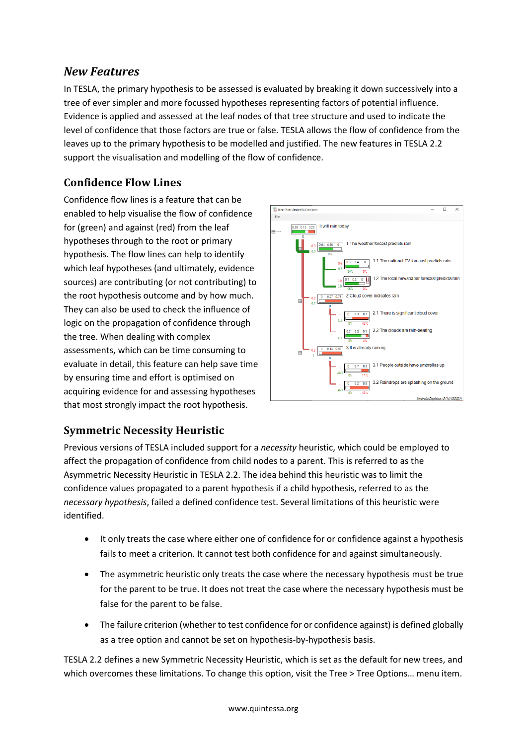## <span id="page-2-0"></span>*New Features*

In TESLA, the primary hypothesis to be assessed is evaluated by breaking it down successively into a tree of ever simpler and more focussed hypotheses representing factors of potential influence. Evidence is applied and assessed at the leaf nodes of that tree structure and used to indicate the level of confidence that those factors are true or false. TESLA allows the flow of confidence from the leaves up to the primary hypothesis to be modelled and justified. The new features in TESLA 2.2 support the visualisation and modelling of the flow of confidence.

#### **Confidence Flow Lines**

Confidence flow lines is a feature that can be enabled to help visualise the flow of confidence for (green) and against (red) from the leaf hypotheses through to the root or primary hypothesis. The flow lines can help to identify which leaf hypotheses (and ultimately, evidence sources) are contributing (or not contributing) to the root hypothesis outcome and by how much. They can also be used to check the influence of logic on the propagation of confidence through the tree. When dealing with complex assessments, which can be time consuming to evaluate in detail, this feature can help save time by ensuring time and effort is optimised on acquiring evidence for and assessing hypotheses that most strongly impact the root hypothesis.



#### **Symmetric Necessity Heuristic**

Previous versions of TESLA included support for a *necessity* heuristic, which could be employed to affect the propagation of confidence from child nodes to a parent. This is referred to as the Asymmetric Necessity Heuristic in TESLA 2.2. The idea behind this heuristic was to limit the confidence values propagated to a parent hypothesis if a child hypothesis, referred to as the *necessary hypothesis*, failed a defined confidence test. Several limitations of this heuristic were identified.

- It only treats the case where either one of confidence for or confidence against a hypothesis fails to meet a criterion. It cannot test both confidence for and against simultaneously.
- The asymmetric heuristic only treats the case where the necessary hypothesis must be true for the parent to be true. It does not treat the case where the necessary hypothesis must be false for the parent to be false.
- The failure criterion (whether to test confidence for or confidence against) is defined globally as a tree option and cannot be set on hypothesis-by-hypothesis basis.

TESLA 2.2 defines a new Symmetric Necessity Heuristic, which is set as the default for new trees, and which overcomes these limitations. To change this option, visit the Tree > Tree Options... menu item.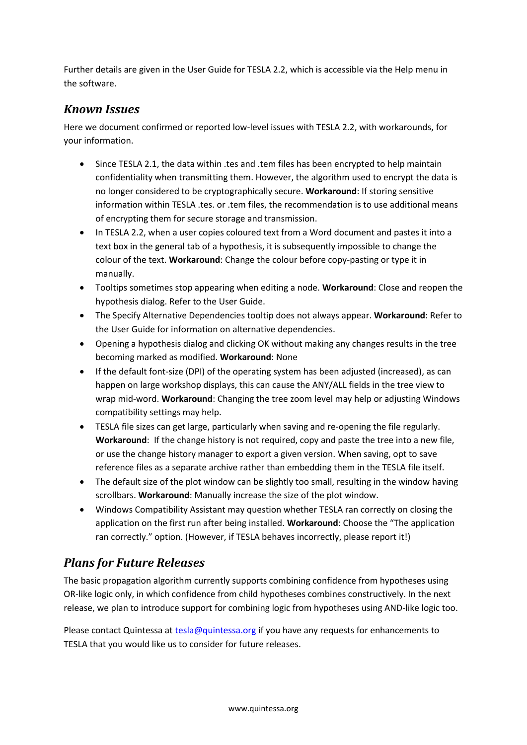Further details are given in the User Guide for TESLA 2.2, which is accessible via the Help menu in the software.

#### <span id="page-3-0"></span>*Known Issues*

Here we document confirmed or reported low-level issues with TESLA 2.2, with workarounds, for your information.

- Since TESLA 2.1, the data within .tes and .tem files has been encrypted to help maintain confidentiality when transmitting them. However, the algorithm used to encrypt the data is no longer considered to be cryptographically secure. **Workaround**: If storing sensitive information within TESLA .tes. or .tem files, the recommendation is to use additional means of encrypting them for secure storage and transmission.
- In TESLA 2.2, when a user copies coloured text from a Word document and pastes it into a text box in the general tab of a hypothesis, it is subsequently impossible to change the colour of the text. **Workaround**: Change the colour before copy-pasting or type it in manually.
- Tooltips sometimes stop appearing when editing a node. **Workaround**: Close and reopen the hypothesis dialog. Refer to the User Guide.
- The Specify Alternative Dependencies tooltip does not always appear. **Workaround**: Refer to the User Guide for information on alternative dependencies.
- Opening a hypothesis dialog and clicking OK without making any changes results in the tree becoming marked as modified. **Workaround**: None
- If the default font-size (DPI) of the operating system has been adjusted (increased), as can happen on large workshop displays, this can cause the ANY/ALL fields in the tree view to wrap mid-word. **Workaround**: Changing the tree zoom level may help or adjusting Windows compatibility settings may help.
- TESLA file sizes can get large, particularly when saving and re-opening the file regularly. **Workaround**: If the change history is not required, copy and paste the tree into a new file, or use the change history manager to export a given version. When saving, opt to save reference files as a separate archive rather than embedding them in the TESLA file itself.
- The default size of the plot window can be slightly too small, resulting in the window having scrollbars. **Workaround**: Manually increase the size of the plot window.
- Windows Compatibility Assistant may question whether TESLA ran correctly on closing the application on the first run after being installed. **Workaround**: Choose the "The application ran correctly." option. (However, if TESLA behaves incorrectly, please report it!)

# <span id="page-3-1"></span>*Plans for Future Releases*

The basic propagation algorithm currently supports combining confidence from hypotheses using OR-like logic only, in which confidence from child hypotheses combines constructively. In the next release, we plan to introduce support for combining logic from hypotheses using AND-like logic too.

Please contact Quintessa a[t tesla@quintessa.org](mailto:tesla@quintessa.org) if you have any requests for enhancements to TESLA that you would like us to consider for future releases.